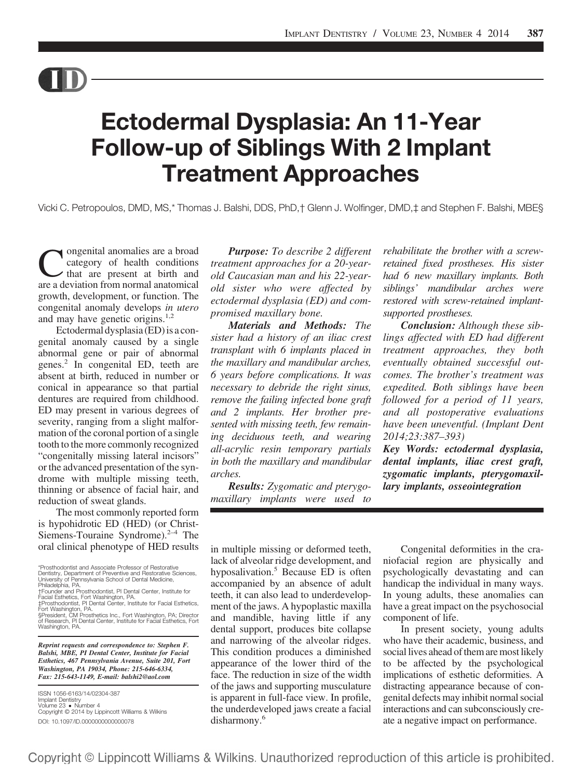# Ectodermal Dysplasia: An 11-Year Follow-up of Siblings With 2 Implant Treatment Approaches

Vicki C. Petropoulos, DMD, MS,\* Thomas J. Balshi, DDS, PhD,† Glenn J. Wolfinger, DMD,‡ and Stephen F. Balshi, MBE§

Congenital anomalies are a broad<br>that are present at birth and<br>are a deviation from normal anatomical category of health conditions are a deviation from normal anatomical growth, development, or function. The congenital anomaly develops in utero and may have genetic origins. $1,2$ 

Ectodermal dysplasia (ED) is a congenital anomaly caused by a single abnormal gene or pair of abnormal genes.<sup>2</sup> In congenital ED, teeth are absent at birth, reduced in number or conical in appearance so that partial dentures are required from childhood. ED may present in various degrees of severity, ranging from a slight malformation of the coronal portion of a single tooth to the more commonly recognized "congenitally missing lateral incisors" or the advanced presentation of the syndrome with multiple missing teeth, thinning or absence of facial hair, and reduction of sweat glands.

The most commonly reported form is hypohidrotic ED (HED) (or Christ-Siemens-Touraine Syndrome).<sup>2-4</sup> The oral clinical phenotype of HED results in multiple missing or deformed teeth,

Philadelphia, PA.<br>†Founder and Prosthodontist, PI Dental Center, Institute for<br>Facial Esthetics, Fort Washington, PA.<br>‡Prosthodontist, PI Dental Center, Institute for Facial Esthetics,

Reprint requests and correspondence to: Stephen F. Balshi, MBE, PI Dental Center, Institute for Facial Esthetics, 467 Pennsylvania Avenue, Suite 201, Fort Washington, PA 19034, Phone: 215-646-6334, Fax: 215-643-1149, E-mail: balshi2@aol.com

ISSN 1056-6163/14/02304-387 Implant Dentistry<br>Volume 23 • Number 4<br>Copyright © 2014 by Lippincott Williams & Wilkins DOI: 10.1097/ID.0000000000000078

Purpose: To describe 2 different treatment approaches for a 20-yearold Caucasian man and his 22-yearold sister who were affected by ectodermal dysplasia (ED) and compromised maxillary bone.

Materials and Methods: The sister had a history of an iliac crest transplant with 6 implants placed in the maxillary and mandibular arches, 6 years before complications. It was necessary to debride the right sinus, remove the failing infected bone graft and 2 implants. Her brother presented with missing teeth, few remaining deciduous teeth, and wearing all-acrylic resin temporary partials in both the maxillary and mandibular arches.

Results: Zygomatic and pterygomaxillary implants were used to

rehabilitate the brother with a screwretained fixed prostheses. His sister had 6 new maxillary implants. Both siblings' mandibular arches were restored with screw-retained implantsupported prostheses.

Conclusion: Although these siblings affected with ED had different treatment approaches, they both eventually obtained successful outcomes. The brother's treatment was expedited. Both siblings have been followed for a period of 11 years, and all postoperative evaluations have been uneventful. (Implant Dent 2014;23:387–393)

Key Words: ectodermal dysplasia, dental implants, iliac crest graft, zygomatic implants, pterygomaxillary implants, osseointegration

lack of alveolar ridge development, and hyposalivation.5 Because ED is often accompanied by an absence of adult teeth, it can also lead to underdevelopment of the jaws. A hypoplastic maxilla and mandible, having little if any dental support, produces bite collapse and narrowing of the alveolar ridges. This condition produces a diminished appearance of the lower third of the face. The reduction in size of the width of the jaws and supporting musculature is apparent in full-face view. In profile, the underdeveloped jaws create a facial disharmony.<sup>6</sup>

Congenital deformities in the craniofacial region are physically and psychologically devastating and can handicap the individual in many ways. In young adults, these anomalies can have a great impact on the psychosocial component of life.

In present society, young adults who have their academic, business, and social lives ahead of them are most likely to be affected by the psychological implications of esthetic deformities. A distracting appearance because of congenital defects may inhibit normal social interactions and can subconsciously create a negative impact on performance.

Copyright © Lippincott Williams & Wilkins. Unauthorized reproduction of this article is prohibited.

<sup>\*</sup>Prosthodontist and Associate Professor of Restorative Dentistry, Department of Preventive and Restorative Sciences, University of Pennsylvania School of Dental Medicine,

Fort Washington, PA. §President, CM Prosthetics Inc., Fort Washington, PA; Director of Research, PI Dental Center, Institute for Facial Esthetics, Fort

Washington, PA.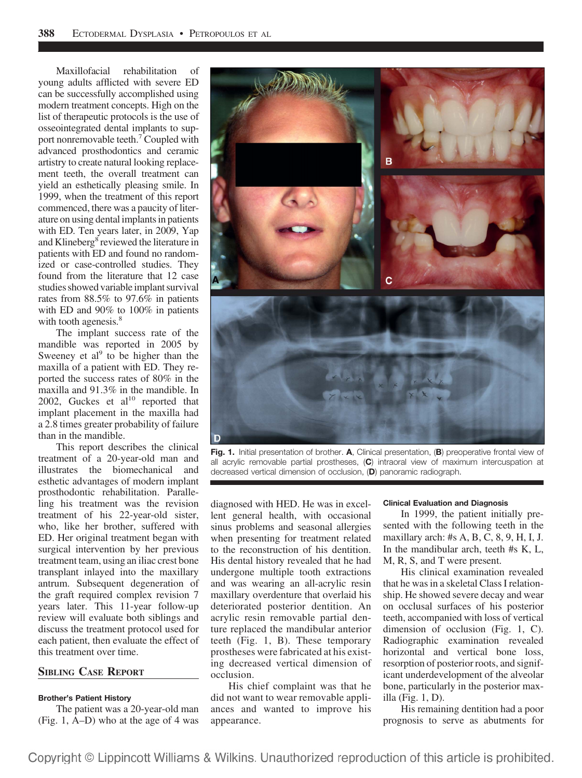Maxillofacial rehabilitation of young adults afflicted with severe ED can be successfully accomplished using modern treatment concepts. High on the list of therapeutic protocols is the use of osseointegrated dental implants to support nonremovable teeth.<sup>7</sup> Coupled with advanced prosthodontics and ceramic artistry to create natural looking replacement teeth, the overall treatment can yield an esthetically pleasing smile. In 1999, when the treatment of this report commenced, there was a paucity of literature on using dental implants in patients with ED. Ten years later, in 2009, Yap and Klineberg<sup>8</sup> reviewed the literature in patients with ED and found no randomized or case-controlled studies. They found from the literature that 12 case studies showed variable implant survival rates from 88.5% to 97.6% in patients with ED and 90% to 100% in patients with tooth agenesis.<sup>8</sup>

The implant success rate of the mandible was reported in 2005 by Sweeney et al<sup>9</sup> to be higher than the maxilla of a patient with ED. They reported the success rates of 80% in the maxilla and 91.3% in the mandible. In 2002, Guckes et  $al<sup>10</sup>$  reported that implant placement in the maxilla had a 2.8 times greater probability of failure than in the mandible.

This report describes the clinical treatment of a 20-year-old man and illustrates the biomechanical and esthetic advantages of modern implant prosthodontic rehabilitation. Paralleling his treatment was the revision treatment of his 22-year-old sister, who, like her brother, suffered with ED. Her original treatment began with surgical intervention by her previous treatment team, using an iliac crest bone transplant inlayed into the maxillary antrum. Subsequent degeneration of the graft required complex revision 7 years later. This 11-year follow-up review will evaluate both siblings and discuss the treatment protocol used for each patient, then evaluate the effect of this treatment over time.

# SIBLING CASE REPORT

#### Brother's Patient History

The patient was a 20-year-old man (Fig. 1, A–D) who at the age of 4 was



Fig. 1. Initial presentation of brother. A, Clinical presentation, (B) preoperative frontal view of all acrylic removable partial prostheses, (C) intraoral view of maximum intercuspation at decreased vertical dimension of occlusion, (D) panoramic radiograph.

diagnosed with HED. He was in excellent general health, with occasional sinus problems and seasonal allergies when presenting for treatment related to the reconstruction of his dentition. His dental history revealed that he had undergone multiple tooth extractions and was wearing an all-acrylic resin maxillary overdenture that overlaid his deteriorated posterior dentition. An acrylic resin removable partial denture replaced the mandibular anterior teeth (Fig. 1, B). These temporary prostheses were fabricated at his existing decreased vertical dimension of occlusion.

His chief complaint was that he did not want to wear removable appliances and wanted to improve his appearance.

#### Clinical Evaluation and Diagnosis

In 1999, the patient initially presented with the following teeth in the maxillary arch: #s A, B, C, 8, 9, H, I, J. In the mandibular arch, teeth #s K, L, M, R, S, and T were present.

His clinical examination revealed that he was in a skeletal Class I relationship. He showed severe decay and wear on occlusal surfaces of his posterior teeth, accompanied with loss of vertical dimension of occlusion (Fig. 1, C). Radiographic examination revealed horizontal and vertical bone loss, resorption of posterior roots, and significant underdevelopment of the alveolar bone, particularly in the posterior maxilla (Fig. 1, D).

His remaining dentition had a poor prognosis to serve as abutments for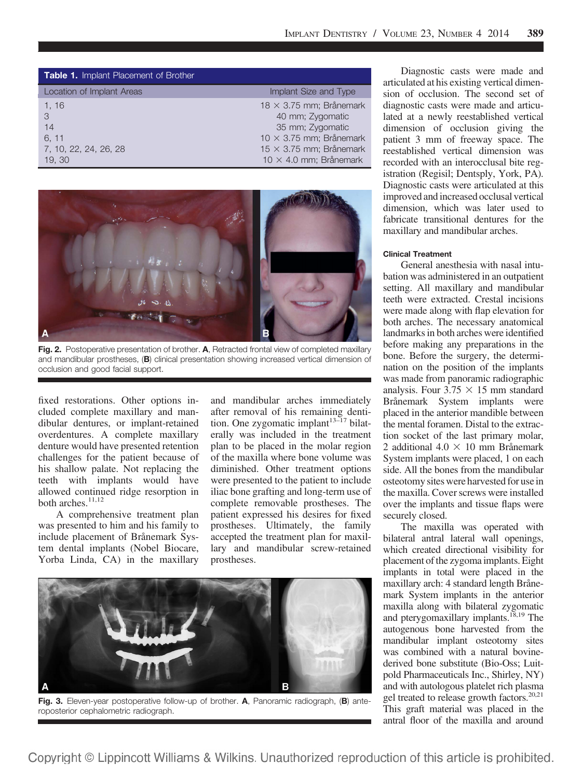| <b>Table 1.</b> Implant Placement of Brother                 |                                                                                                                                                                             |  |
|--------------------------------------------------------------|-----------------------------------------------------------------------------------------------------------------------------------------------------------------------------|--|
| Location of Implant Areas                                    | Implant Size and Type                                                                                                                                                       |  |
| 1, 16<br>3<br>14<br>6, 11<br>7, 10, 22, 24, 26, 28<br>19, 30 | 18 $\times$ 3.75 mm; Brånemark<br>40 mm; Zygomatic<br>35 mm; Zygomatic<br>$10 \times 3.75$ mm; Brånemark<br>$15 \times 3.75$ mm; Brånemark<br>10 $\times$ 4.0 mm; Brånemark |  |



Fig. 2. Postoperative presentation of brother. A, Retracted frontal view of completed maxillary and mandibular prostheses, (B) clinical presentation showing increased vertical dimension of occlusion and good facial support.

fixed restorations. Other options included complete maxillary and mandibular dentures, or implant-retained overdentures. A complete maxillary denture would have presented retention challenges for the patient because of his shallow palate. Not replacing the teeth with implants would have allowed continued ridge resorption in both arches. $11,12$ 

A comprehensive treatment plan was presented to him and his family to include placement of Brånemark System dental implants (Nobel Biocare, Yorba Linda, CA) in the maxillary

and mandibular arches immediately after removal of his remaining dentition. One zygomatic implant $13-17$  bilaterally was included in the treatment plan to be placed in the molar region of the maxilla where bone volume was diminished. Other treatment options were presented to the patient to include iliac bone grafting and long-term use of complete removable prostheses. The patient expressed his desires for fixed prostheses. Ultimately, the family accepted the treatment plan for maxillary and mandibular screw-retained prostheses.



Fig. 3. Eleven-year postoperative follow-up of brother. A, Panoramic radiograph, (B) anteroposterior cephalometric radiograph.

Diagnostic casts were made and articulated at his existing vertical dimension of occlusion. The second set of diagnostic casts were made and articulated at a newly reestablished vertical dimension of occlusion giving the patient 3 mm of freeway space. The reestablished vertical dimension was recorded with an interocclusal bite registration (Regisil; Dentsply, York, PA). Diagnostic casts were articulated at this improved and increased occlusal vertical dimension, which was later used to fabricate transitional dentures for the maxillary and mandibular arches.

# Clinical Treatment

General anesthesia with nasal intubation was administered in an outpatient setting. All maxillary and mandibular teeth were extracted. Crestal incisions were made along with flap elevation for both arches. The necessary anatomical landmarks in both arches were identified before making any preparations in the bone. Before the surgery, the determination on the position of the implants was made from panoramic radiographic analysis. Four  $3.75 \times 15$  mm standard Brånemark System implants were placed in the anterior mandible between the mental foramen. Distal to the extraction socket of the last primary molar, 2 additional  $4.0 \times 10$  mm Brånemark System implants were placed, 1 on each side. All the bones from the mandibular osteotomy sites were harvested for use in the maxilla. Cover screws were installed over the implants and tissue flaps were securely closed.

The maxilla was operated with bilateral antral lateral wall openings, which created directional visibility for placement of the zygoma implants. Eight implants in total were placed in the maxillary arch: 4 standard length Brånemark System implants in the anterior maxilla along with bilateral zygomatic and pterygomaxillary implants.<sup>18,19</sup> The autogenous bone harvested from the mandibular implant osteotomy sites was combined with a natural bovinederived bone substitute (Bio-Oss; Luitpold Pharmaceuticals Inc., Shirley, NY) and with autologous platelet rich plasma gel treated to release growth factors.<sup>20,21</sup> This graft material was placed in the antral floor of the maxilla and around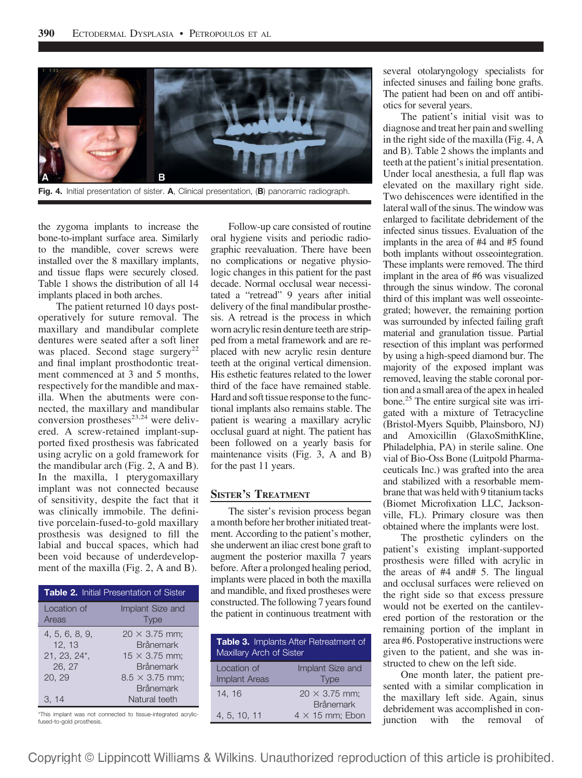

Fig. 4. Initial presentation of sister. A, Clinical presentation, (B) panoramic radiograph.

the zygoma implants to increase the bone-to-implant surface area. Similarly to the mandible, cover screws were installed over the 8 maxillary implants, and tissue flaps were securely closed. Table 1 shows the distribution of all 14 implants placed in both arches.

The patient returned 10 days postoperatively for suture removal. The maxillary and mandibular complete dentures were seated after a soft liner was placed. Second stage surgery<sup>22</sup> and final implant prosthodontic treatment commenced at 3 and 5 months, respectively for the mandible and maxilla. When the abutments were connected, the maxillary and mandibular conversion prostheses $2^{3,24}$  were delivered. A screw-retained implant-supported fixed prosthesis was fabricated using acrylic on a gold framework for the mandibular arch (Fig. 2, A and B). In the maxilla, 1 pterygomaxillary implant was not connected because of sensitivity, despite the fact that it was clinically immobile. The definitive porcelain-fused-to-gold maxillary prosthesis was designed to fill the labial and buccal spaces, which had been void because of underdevelopment of the maxilla (Fig. 2, A and B).

| <b>Table 2.</b> Initial Presentation of Sister                       |                                                                                                                                                    |
|----------------------------------------------------------------------|----------------------------------------------------------------------------------------------------------------------------------------------------|
| Location of<br>Areas                                                 | Implant Size and<br><b>Type</b>                                                                                                                    |
| 4, 5, 6, 8, 9,<br>12, 13<br>21, 23, 24*.<br>26, 27<br>20.29<br>3. 14 | $20 \times 3.75$ mm;<br><b>Brånemark</b><br>$15 \times 3.75$ mm:<br><b>Brånemark</b><br>$8.5 \times 3.75$ mm;<br><b>Brånemark</b><br>Natural teeth |
|                                                                      |                                                                                                                                                    |

\*This implant was not connected to tissue-integrated acrylicfused-to-gold prosthesis.

Follow-up care consisted of routine oral hygiene visits and periodic radiographic reevaluation. There have been no complications or negative physiologic changes in this patient for the past decade. Normal occlusal wear necessitated a "retread" 9 years after initial delivery of the final mandibular prosthesis. A retread is the process in which worn acrylic resin denture teeth are stripped from a metal framework and are replaced with new acrylic resin denture teeth at the original vertical dimension. His esthetic features related to the lower third of the face have remained stable. Hard and soft tissue response to the functional implants also remains stable. The patient is wearing a maxillary acrylic occlusal guard at night. The patient has been followed on a yearly basis for maintenance visits (Fig. 3, A and B) for the past 11 years.

# SISTER'<sup>S</sup> TREATMENT

The sister's revision process began a month before her brother initiated treatment. According to the patient's mother, she underwent an iliac crest bone graft to augment the posterior maxilla 7 years before. After a prolonged healing period, implants were placed in both the maxilla and mandible, and fixed prostheses were constructed. The following 7 years found the patient in continuous treatment with

| Table 3. Implants After Retreatment of<br>Maxillary Arch of Sister |                                          |
|--------------------------------------------------------------------|------------------------------------------|
| Location of<br><b>Implant Areas</b>                                | Implant Size and<br><b>Type</b>          |
| 14, 16                                                             | $20 \times 3.75$ mm:<br><b>Brånemark</b> |
| 4, 5, 10, 11                                                       | $4 \times 15$ mm; Ebon                   |

several otolaryngology specialists for infected sinuses and failing bone grafts. The patient had been on and off antibiotics for several years.

The patient's initial visit was to diagnose and treat her pain and swelling in the right side of the maxilla (Fig. 4, A and B). Table 2 shows the implants and teeth at the patient's initial presentation. Under local anesthesia, a full flap was elevated on the maxillary right side. Two dehiscences were identified in the lateral wall of the sinus. The window was enlarged to facilitate debridement of the infected sinus tissues. Evaluation of the implants in the area of #4 and #5 found both implants without osseointegration. These implants were removed. The third implant in the area of #6 was visualized through the sinus window. The coronal third of this implant was well osseointegrated; however, the remaining portion was surrounded by infected failing graft material and granulation tissue. Partial resection of this implant was performed by using a high-speed diamond bur. The majority of the exposed implant was removed, leaving the stable coronal portion and a small area of the apex in healed bone.25 The entire surgical site was irrigated with a mixture of Tetracycline (Bristol-Myers Squibb, Plainsboro, NJ) and Amoxicillin (GlaxoSmithKline, Philadelphia, PA) in sterile saline. One vial of Bio-Oss Bone (Luitpold Pharmaceuticals Inc.) was grafted into the area and stabilized with a resorbable membrane that was held with 9 titanium tacks (Biomet Microfixation LLC, Jacksonville, FL). Primary closure was then obtained where the implants were lost.

The prosthetic cylinders on the patient's existing implant-supported prosthesis were filled with acrylic in the areas of #4 and# 5. The lingual and occlusal surfaces were relieved on the right side so that excess pressure would not be exerted on the cantilevered portion of the restoration or the remaining portion of the implant in area #6. Postoperative instructions were given to the patient, and she was instructed to chew on the left side.

One month later, the patient presented with a similar complication in the maxillary left side. Again, sinus debridement was accomplished in conjunction with the removal of

Copyright © Lippincott Williams & Wilkins. Unauthorized reproduction of this article is prohibited.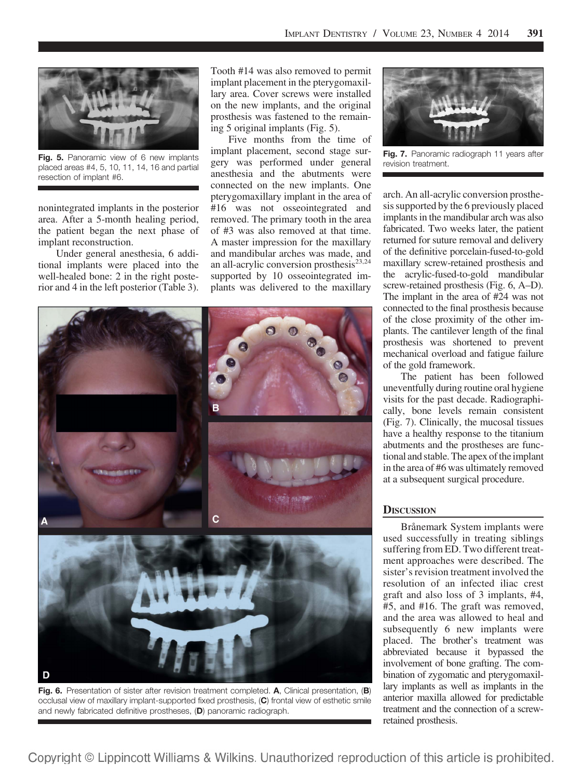

Fig. 5. Panoramic view of 6 new implants placed areas #4, 5, 10, 11, 14, 16 and partial resection of implant #6.

nonintegrated implants in the posterior area. After a 5-month healing period, the patient began the next phase of implant reconstruction.

Under general anesthesia, 6 additional implants were placed into the well-healed bone: 2 in the right posterior and 4 in the left posterior (Table 3).

Tooth #14 was also removed to permit implant placement in the pterygomaxillary area. Cover screws were installed on the new implants, and the original prosthesis was fastened to the remaining 5 original implants (Fig. 5).

Five months from the time of implant placement, second stage surgery was performed under general anesthesia and the abutments were connected on the new implants. One pterygomaxillary implant in the area of #16 was not osseointegrated and removed. The primary tooth in the area of #3 was also removed at that time. A master impression for the maxillary and mandibular arches was made, and an all-acrylic conversion prosthesis $23,24$ supported by 10 osseointegrated implants was delivered to the maxillary



Fig. 6. Presentation of sister after revision treatment completed. A, Clinical presentation, (B) occlusal view of maxillary implant-supported fixed prosthesis, (C) frontal view of esthetic smile and newly fabricated definitive prostheses, (D) panoramic radiograph.



Fig. 7. Panoramic radiograph 11 years after revision treatment.

arch. An all-acrylic conversion prosthesis supported by the 6 previously placed implants in the mandibular arch was also fabricated. Two weeks later, the patient returned for suture removal and delivery of the definitive porcelain-fused-to-gold maxillary screw-retained prosthesis and the acrylic-fused-to-gold mandibular screw-retained prosthesis (Fig. 6, A–D). The implant in the area of #24 was not connected to the final prosthesis because of the close proximity of the other implants. The cantilever length of the final prosthesis was shortened to prevent mechanical overload and fatigue failure of the gold framework.

The patient has been followed uneventfully during routine oral hygiene visits for the past decade. Radiographically, bone levels remain consistent (Fig. 7). Clinically, the mucosal tissues have a healthy response to the titanium abutments and the prostheses are functional and stable. The apex of the implant in the area of #6 was ultimately removed at a subsequent surgical procedure.

# **DISCUSSION**

Brånemark System implants were used successfully in treating siblings suffering from ED. Two different treatment approaches were described. The sister's revision treatment involved the resolution of an infected iliac crest graft and also loss of 3 implants, #4, #5, and #16. The graft was removed, and the area was allowed to heal and subsequently 6 new implants were placed. The brother's treatment was abbreviated because it bypassed the involvement of bone grafting. The combination of zygomatic and pterygomaxillary implants as well as implants in the anterior maxilla allowed for predictable treatment and the connection of a screwretained prosthesis.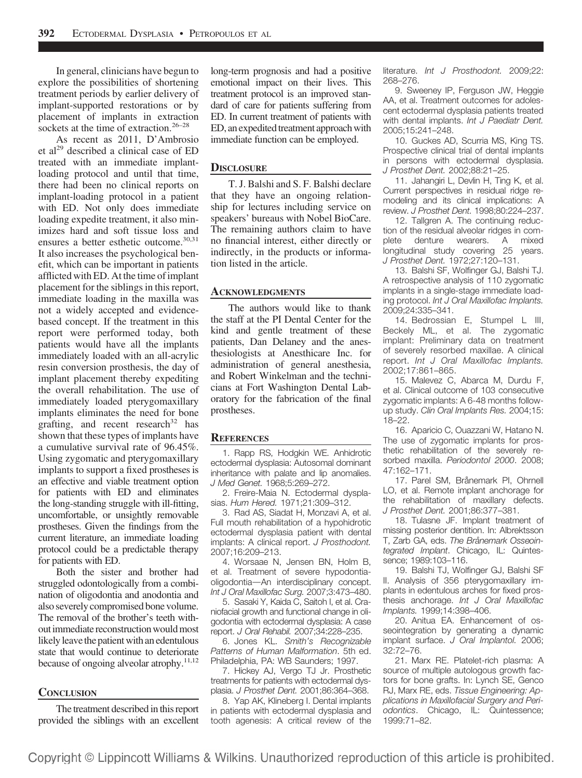In general, clinicians have begun to explore the possibilities of shortening treatment periods by earlier delivery of implant-supported restorations or by placement of implants in extraction sockets at the time of extraction.<sup>26–28</sup>

As recent as 2011, D'Ambrosio et al<sup>29</sup> described a clinical case of ED treated with an immediate implantloading protocol and until that time, there had been no clinical reports on implant-loading protocol in a patient with ED. Not only does immediate loading expedite treatment, it also minimizes hard and soft tissue loss and ensures a better esthetic outcome. $30,31$ It also increases the psychological benefit, which can be important in patients afflicted with ED. At the time of implant placement for the siblings in this report, immediate loading in the maxilla was not a widely accepted and evidencebased concept. If the treatment in this report were performed today, both patients would have all the implants immediately loaded with an all-acrylic resin conversion prosthesis, the day of implant placement thereby expediting the overall rehabilitation. The use of immediately loaded pterygomaxillary implants eliminates the need for bone grafting, and recent research $32$  has shown that these types of implants have a cumulative survival rate of 96.45%. Using zygomatic and pterygomaxillary implants to support a fixed prostheses is an effective and viable treatment option for patients with ED and eliminates the long-standing struggle with ill-fitting, uncomfortable, or unsightly removable prostheses. Given the findings from the current literature, an immediate loading protocol could be a predictable therapy for patients with ED.

Both the sister and brother had struggled odontologically from a combination of oligodontia and anodontia and also severely compromised bone volume. The removal of the brother's teeth without immediate reconstruction would most likely leave the patient with an edentulous state that would continue to deteriorate because of ongoing alveolar atrophy.<sup>11,12</sup>

# **CONCLUSION**

The treatment described in this report provided the siblings with an excellent long-term prognosis and had a positive emotional impact on their lives. This treatment protocol is an improved standard of care for patients suffering from ED. In current treatment of patients with ED, an expedited treatment approach with immediate function can be employed.

# **DISCLOSURE**

T. J. Balshi and S. F. Balshi declare that they have an ongoing relationship for lectures including service on speakers' bureaus with Nobel BioCare. The remaining authors claim to have no financial interest, either directly or indirectly, in the products or information listed in the article.

### ACKNOWLEDGMENTS

The authors would like to thank the staff at the PI Dental Center for the kind and gentle treatment of these patients, Dan Delaney and the anesthesiologists at Anesthicare Inc. for administration of general anesthesia, and Robert Winkelman and the technicians at Fort Washington Dental Laboratory for the fabrication of the final prostheses.

#### **REFERENCES**

1. Rapp RS, Hodgkin WE. Anhidrotic ectodermal dysplasia: Autosomal dominant inheritance with palate and lip anomalies. J Med Genet. 1968;5:269–272.

2. Freire-Maia N. Ectodermal dysplasias. Hum Hered. 1971;21:309–312.

3. Rad AS, Siadat H, Monzavi A, et al. Full mouth rehabilitation of a hypohidrotic ectodermal dysplasia patient with dental implants: A clinical report. J Prosthodont. 2007;16:209–213.

4. Worsaae N, Jensen BN, Holm B, et al. Treatment of severe hypodontiaoligodontia-An interdisciplinary concept. Int J Oral Maxillofac Surg. 2007;3:473–480.

5. Sasaki Y, Kaida C, Saitoh I, et al. Craniofacial growth and functional change in oligodontia with ectodermal dysplasia: A case report. J Oral Rehabil. 2007;34:228–235.

6. Jones KL. Smith's Recognizable Patterns of Human Malformation. 5th ed. Philadelphia, PA: WB Saunders; 1997.

7. Hickey AJ, Vergo TJ Jr. Prosthetic treatments for patients with ectodermal dysplasia. J Prosthet Dent. 2001;86:364–368.

8. Yap AK, Klineberg I. Dental implants in patients with ectodermal dysplasia and tooth agenesis: A critical review of the literature. Int J Prosthodont. 2009;22: 268–276.

9. Sweeney IP, Ferguson JW, Heggie AA, et al. Treatment outcomes for adolescent ectodermal dysplasia patients treated with dental implants. Int J Paediatr Dent. 2005;15:241–248.

10. Guckes AD, Scurria MS, King TS. Prospective clinical trial of dental implants in persons with ectodermal dysplasia. J Prosthet Dent. 2002;88:21–25.

11. Jahangiri L, Devlin H, Ting K, et al. Current perspectives in residual ridge remodeling and its clinical implications: A review. J Prosthet Dent. 1998;80:224–237.

12. Tallgren A. The continuing reduction of the residual alveolar ridges in complete denture wearers. A mixed longitudinal study covering 25 years. J Prosthet Dent. 1972;27:120–131.

13. Balshi SF, Wolfinger GJ, Balshi TJ. A retrospective analysis of 110 zygomatic implants in a single-stage immediate loading protocol. Int J Oral Maxillofac Implants. 2009;24:335–341.

14. Bedrossian E, Stumpel L III, Beckely ML, et al. The zygomatic implant: Preliminary data on treatment of severely resorbed maxillae. A clinical report. Int J Oral Maxillofac Implants. 2002;17:861–865.

15. Malevez C, Abarca M, Durdu F, et al. Clinical outcome of 103 consecutive zygomatic implants: A 6-48 months followup study. Clin Oral Implants Res. 2004;15: 18–22.

16. Aparicio C, Ouazzani W, Hatano N. The use of zygomatic implants for prosthetic rehabilitation of the severely resorbed maxilla. Periodontol 2000. 2008; 47:162–171.

17. Parel SM, Brånemark PI, Ohrnell LO, et al. Remote implant anchorage for the rehabilitation of maxillary defects. J Prosthet Dent. 2001;86:377–381.

18. Tulasne JF. Implant treatment of missing posterior dentition. In: Albrektsson T, Zarb GA, eds. The Brånemark Osseointegrated Implant. Chicago, IL: Quintessence; 1989:103–116.

19. Balshi TJ, Wolfinger GJ, Balshi SF II. Analysis of 356 pterygomaxillary implants in edentulous arches for fixed prosthesis anchorage. Int J Oral Maxillofac Implants. 1999;14:398–406.

20. Anitua EA. Enhancement of osseointegration by generating a dynamic implant surface. J Oral Implantol. 2006; 32:72–76.

21. Marx RE. Platelet-rich plasma: A source of multiple autologous growth factors for bone grafts. In: Lynch SE, Genco RJ, Marx RE, eds. Tissue Engineering: Applications in Maxillofacial Surgery and Periodontics. Chicago, IL: Quintessence; 1999:71–82.